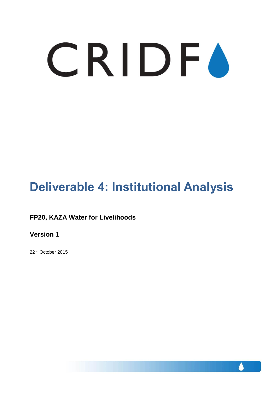# CRIDFO

# **Deliverable 4: Institutional Analysis**

## **FP20, KAZA Water for Livelihoods**

**Version 1**

22nd October 2015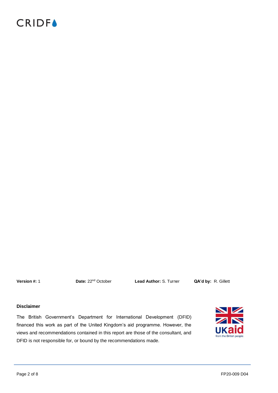## **CRIDFA**

**Version #:** 1 **Date:** 22nd October **Lead Author:** S. Turner **QA'd by:** R. Gillett

## **Disclaimer**

The British Government's Department for International Development (DFID) financed this work as part of the United Kingdom's aid programme. However, the views and recommendations contained in this report are those of the consultant, and DFID is not responsible for, or bound by the recommendations made.

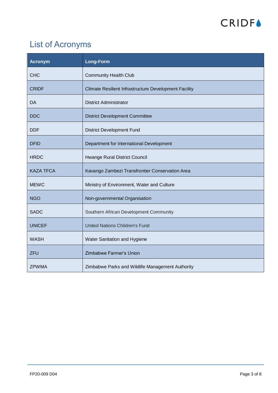

## List of Acronyms

| <b>Acronym</b>   | <b>Long-Form</b>                                      |
|------------------|-------------------------------------------------------|
| <b>CHC</b>       | <b>Community Health Club</b>                          |
| <b>CRIDF</b>     | Climate Resilient Infrastructure Development Facility |
| DA               | <b>District Administrator</b>                         |
| <b>DDC</b>       | <b>District Development Committee</b>                 |
| <b>DDF</b>       | <b>District Development Fund</b>                      |
| <b>DFID</b>      | Department for International Development              |
| <b>HRDC</b>      | Hwange Rural District Council                         |
| <b>KAZA TFCA</b> | Kavango Zambezi Transfrontier Conservation Area       |
| <b>MEWC</b>      | Ministry of Environment, Water and Culture            |
| <b>NGO</b>       | Non-governmental Organisation                         |
| <b>SADC</b>      | Southern African Development Community                |
| <b>UNICEF</b>    | <b>United Nations Children's Fund</b>                 |
| <b>WASH</b>      | Water Sanitation and Hygiene                          |
| <b>ZFU</b>       | Zimbabwe Farmer's Union                               |
| <b>ZPWMA</b>     | Zimbabwe Parks and Wildlife Management Authority      |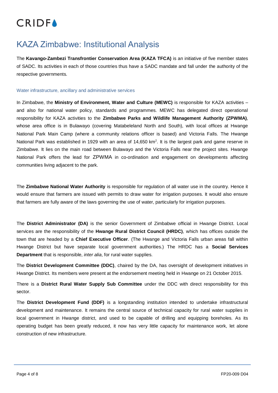

## KAZA Zimbabwe: Institutional Analysis

The **Kavango-Zambezi Transfrontier Conservation Area (KAZA TFCA)** is an initiative of five member states of SADC. Its activities in each of those countries thus have a SADC mandate and fall under the authority of the respective governments.

#### Water infrastructure, ancillary and administrative services

In Zimbabwe, the **Ministry of Environment, Water and Culture (MEWC)** is responsible for KAZA activities – and also for national water policy, standards and programmes. MEWC has delegated direct operational responsibility for KAZA activities to the **Zimbabwe Parks and Wildlife Management Authority (ZPWMA)**, whose area office is in Bulawayo (covering Matabeleland North and South), with local offices at Hwange National Park Main Camp (where a community relations officer is based) and Victoria Falls. The Hwange National Park was established in 1929 with an area of 14,650 km<sup>2</sup>. It is the largest park and game reserve in Zimbabwe. It lies on the main road between Bulawayo and the Victoria Falls near the project sites. Hwange National Park offers the lead for ZPWMA in co-ordination and engagement on developments affecting communities living adjacent to the park.

The **Zimbabwe National Water Authority** is responsible for regulation of all water use in the country. Hence it would ensure that farmers are issued with permits to draw water for irrigation purposes. It would also ensure that farmers are fully aware of the laws governing the use of water, particularly for irrigation purposes.

The **District Administrator (DA)** is the senior Government of Zimbabwe official in Hwange District. Local services are the responsibility of the **Hwange Rural District Council (HRDC)**, which has offices outside the town that are headed by a **Chief Executive Officer**. (The Hwange and Victoria Falls urban areas fall within Hwange District but have separate local government authorities.) The HRDC has a **Social Services Department** that is responsible, *inter alia*, for rural water supplies.

The **District Development Committee (DDC)**, chaired by the DA, has oversight of development initiatives in Hwange District. Its members were present at the endorsement meeting held in Hwange on 21 October 2015.

There is a **District Rural Water Supply Sub Committee** under the DDC with direct responsibility for this sector.

The **District Development Fund (DDF)** is a longstanding institution intended to undertake infrastructural development and maintenance. It remains the central source of technical capacity for rural water supplies in local government in Hwange district, and used to be capable of drilling and equipping boreholes. As its operating budget has been greatly reduced, it now has very little capacity for maintenance work, let alone construction of new infrastructure.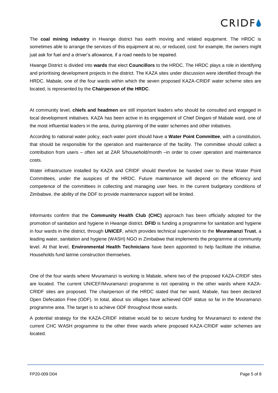## **CRIDEA**

The **coal mining industry** in Hwange district has earth moving and related equipment. The HRDC is sometimes able to arrange the services of this equipment at no, or reduced, cost: for example, the owners might just ask for fuel and a driver's allowance, if a road needs to be repaired.

Hwange District is divided into **wards** that elect **Councillors** to the HRDC. The HRDC plays a role in identifying and prioritising development projects in the district. The KAZA sites under discussion were identified through the HRDC. Mabale, one of the four wards within which the seven proposed KAZA-CRIDF water scheme sites are located, is represented by the **Chairperson of the HRDC**.

At community level, **chiefs and headmen** are still important leaders who should be consulted and engaged in local development initiatives. KAZA has been active in its engagement of Chief Dingani of Mabale ward, one of the most influential leaders in the area, during planning of the water schemes and other initiatives.

According to national water policy, each water point should have a **Water Point Committee**, with a constitution, that should be responsible for the operation and maintenance of the facility. The committee should collect a contribution from users – often set at ZAR 5/household/month –in order to cover operation and maintenance costs.

Water infrastructure installed by KAZA and CRIDF should therefore be handed over to these Water Point Committees, under the auspices of the HRDC. Future maintenance will depend on the efficiency and competence of the committees in collecting and managing user fees. In the current budgetary conditions of Zimbabwe, the ability of the DDF to provide maintenance support will be limited.

Informants confirm that the **Community Health Club (CHC)** approach has been officially adopted for the promotion of sanitation and hygiene in Hwange district. **DFID** is funding a programme for sanitation and hygiene in four wards in the district, through **UNICEF**, which provides technical supervision to the **Mvuramanzi Trust**, a leading water, sanitation and hygiene (WASH) NGO in Zimbabwe that implements the programme at community level. At that level, **Environmental Health Technicians** have been appointed to help facilitate the initiative. Households fund latrine construction themselves.

One of the four wards where Mvuramanzi is working is Mabale, where two of the proposed KAZA-CRIDF sites are located. The current UNICEF/Mvuramanzi programme is not operating in the other wards where KAZA-CRIDF sites are proposed. The chairperson of the HRDC stated that her ward, Mabale, has been declared Open Defecation Free (ODF). In total, about six villages have achieved ODF status so far in the Mvuramanzi programme area. The target is to achieve ODF throughout those wards.

A potential strategy for the KAZA-CRIDF initiative would be to secure funding for Mvuramanzi to extend the current CHC WASH programme to the other three wards where proposed KAZA-CRIDF water schemes are located.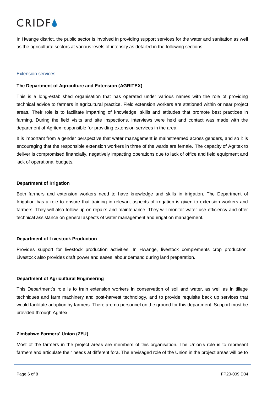## **CRIDEA**

In Hwange district, the public sector is involved in providing support services for the water and sanitation as well as the agricultural sectors at various levels of intensity as detailed in the following sections.

#### Extension services

#### **The Department of Agriculture and Extension (AGRITEX)**

This is a long-established organisation that has operated under various names with the role of providing technical advice to farmers in agricultural practice. Field extension workers are stationed within or near project areas. Their role is to facilitate imparting of knowledge, skills and attitudes that promote best practices in farming. During the field visits and site inspections, interviews were held and contact was made with the department of Agritex responsible for providing extension services in the area.

It is important from a gender perspective that water management is mainstreamed across genders, and so it is encouraging that the responsible extension workers in three of the wards are female. The capacity of Agritex to deliver is compromised financially, negatively impacting operations due to lack of office and field equipment and lack of operational budgets.

#### **Department of Irrigation**

Both farmers and extension workers need to have knowledge and skills in irrigation. The Department of Irrigation has a role to ensure that training in relevant aspects of irrigation is given to extension workers and farmers. They will also follow up on repairs and maintenance. They will monitor water use efficiency and offer technical assistance on general aspects of water management and irrigation management.

## **Department of Livestock Production**

Provides support for livestock production activities. In Hwange, livestock complements crop production. Livestock also provides draft power and eases labour demand during land preparation.

## **Department of Agricultural Engineering**

This Department's role is to train extension workers in conservation of soil and water, as well as in tillage techniques and farm machinery and post-harvest technology, and to provide requisite back up services that would facilitate adoption by farmers. There are no personnel on the ground for this department. Support must be provided through Agritex

## **Zimbabwe Farmers' Union (ZFU)**

Most of the farmers in the project areas are members of this organisation. The Union's role is to represent farmers and articulate their needs at different fora. The envisaged role of the Union in the project areas will be to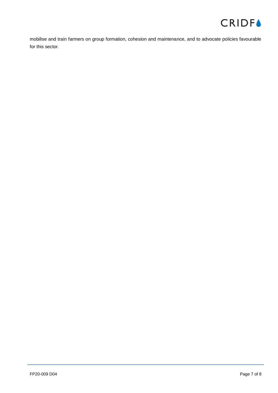

mobilise and train farmers on group formation, cohesion and maintenance, and to advocate policies favourable for this sector.